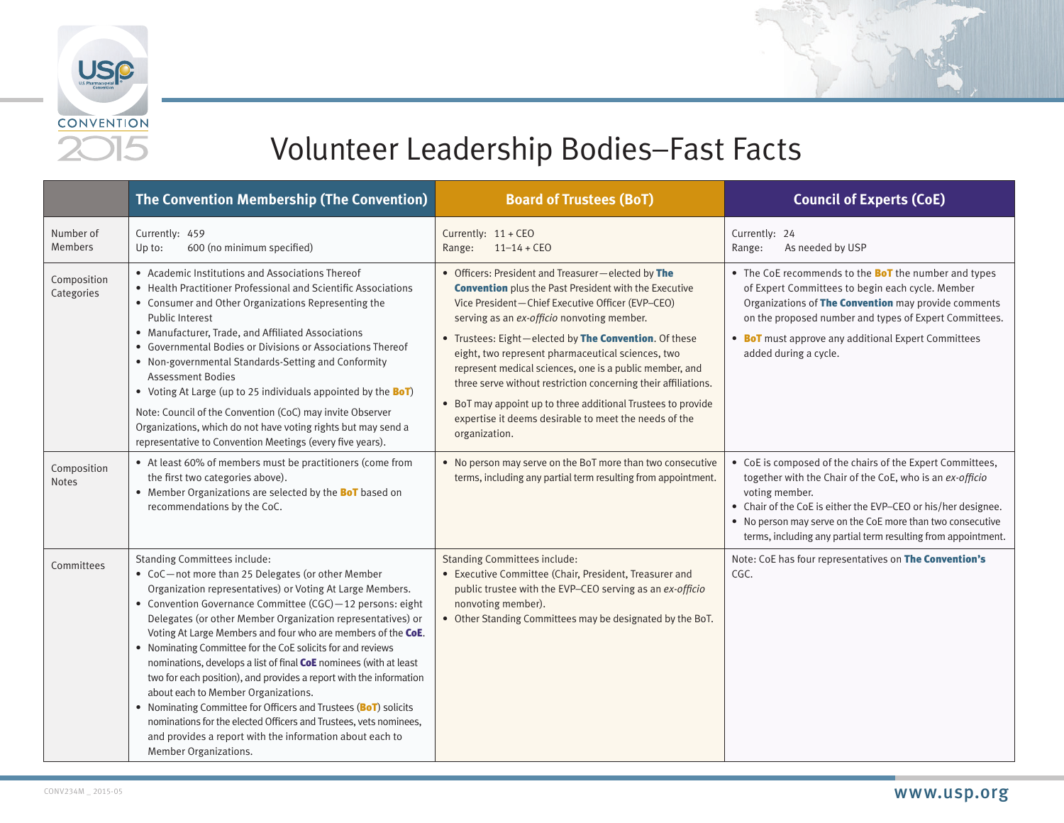



|                             | <b>The Convention Membership (The Convention)</b>                                                                                                                                                                                                                                                                                                                                                                                                                                                                                                                                                                                                                                                                                                                                                                                 | <b>Board of Trustees (BoT)</b>                                                                                                                                                                                                                                                                                                                                                                                                                                                                                                                                                                            | <b>Council of Experts (CoE)</b>                                                                                                                                                                                                                                                                                                         |
|-----------------------------|-----------------------------------------------------------------------------------------------------------------------------------------------------------------------------------------------------------------------------------------------------------------------------------------------------------------------------------------------------------------------------------------------------------------------------------------------------------------------------------------------------------------------------------------------------------------------------------------------------------------------------------------------------------------------------------------------------------------------------------------------------------------------------------------------------------------------------------|-----------------------------------------------------------------------------------------------------------------------------------------------------------------------------------------------------------------------------------------------------------------------------------------------------------------------------------------------------------------------------------------------------------------------------------------------------------------------------------------------------------------------------------------------------------------------------------------------------------|-----------------------------------------------------------------------------------------------------------------------------------------------------------------------------------------------------------------------------------------------------------------------------------------------------------------------------------------|
| Number of<br><b>Members</b> | Currently: 459<br>600 (no minimum specified)<br>Up to:                                                                                                                                                                                                                                                                                                                                                                                                                                                                                                                                                                                                                                                                                                                                                                            | Currently: 11 + CEO<br>$11 - 14 + CEO$<br>Range:                                                                                                                                                                                                                                                                                                                                                                                                                                                                                                                                                          | Currently: 24<br>As needed by USP<br>Range:                                                                                                                                                                                                                                                                                             |
| Composition<br>Categories   | • Academic Institutions and Associations Thereof<br>• Health Practitioner Professional and Scientific Associations<br>• Consumer and Other Organizations Representing the<br><b>Public Interest</b><br>• Manufacturer, Trade, and Affiliated Associations<br>• Governmental Bodies or Divisions or Associations Thereof<br>• Non-governmental Standards-Setting and Conformity<br><b>Assessment Bodies</b><br>• Voting At Large (up to 25 individuals appointed by the BoT)<br>Note: Council of the Convention (CoC) may invite Observer<br>Organizations, which do not have voting rights but may send a<br>representative to Convention Meetings (every five years).                                                                                                                                                            | • Officers: President and Treasurer-elected by The<br><b>Convention</b> plus the Past President with the Executive<br>Vice President-Chief Executive Officer (EVP-CEO)<br>serving as an ex-officio nonvoting member.<br>• Trustees: Eight-elected by The Convention. Of these<br>eight, two represent pharmaceutical sciences, two<br>represent medical sciences, one is a public member, and<br>three serve without restriction concerning their affiliations.<br>• BoT may appoint up to three additional Trustees to provide<br>expertise it deems desirable to meet the needs of the<br>organization. | • The CoE recommends to the <b>BoT</b> the number and types<br>of Expert Committees to begin each cycle. Member<br>Organizations of The Convention may provide comments<br>on the proposed number and types of Expert Committees.<br>• BoT must approve any additional Expert Committees<br>added during a cycle.                       |
| Composition<br><b>Notes</b> | • At least 60% of members must be practitioners (come from<br>the first two categories above).<br>• Member Organizations are selected by the <b>BoT</b> based on<br>recommendations by the CoC.                                                                                                                                                                                                                                                                                                                                                                                                                                                                                                                                                                                                                                   | • No person may serve on the BoT more than two consecutive<br>terms, including any partial term resulting from appointment.                                                                                                                                                                                                                                                                                                                                                                                                                                                                               | • CoE is composed of the chairs of the Expert Committees,<br>together with the Chair of the CoE, who is an ex-officio<br>voting member.<br>• Chair of the CoE is either the EVP-CEO or his/her designee.<br>• No person may serve on the CoE more than two consecutive<br>terms, including any partial term resulting from appointment. |
| Committees                  | <b>Standing Committees include:</b><br>• CoC-not more than 25 Delegates (or other Member<br>Organization representatives) or Voting At Large Members.<br>• Convention Governance Committee (CGC) - 12 persons: eight<br>Delegates (or other Member Organization representatives) or<br>Voting At Large Members and four who are members of the CoE.<br>• Nominating Committee for the CoE solicits for and reviews<br>nominations, develops a list of final CoE nominees (with at least<br>two for each position), and provides a report with the information<br>about each to Member Organizations.<br>• Nominating Committee for Officers and Trustees (BoT) solicits<br>nominations for the elected Officers and Trustees, vets nominees,<br>and provides a report with the information about each to<br>Member Organizations. | <b>Standing Committees include:</b><br>• Executive Committee (Chair, President, Treasurer and<br>public trustee with the EVP-CEO serving as an ex-officio<br>nonvoting member).<br>• Other Standing Committees may be designated by the BoT.                                                                                                                                                                                                                                                                                                                                                              | Note: CoE has four representatives on The Convention's<br>CGC.                                                                                                                                                                                                                                                                          |